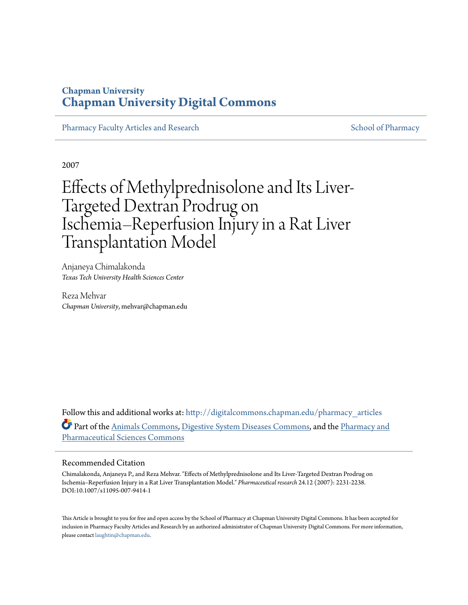## **Chapman University [Chapman University Digital Commons](http://digitalcommons.chapman.edu?utm_source=digitalcommons.chapman.edu%2Fpharmacy_articles%2F126&utm_medium=PDF&utm_campaign=PDFCoverPages)**

[Pharmacy Faculty Articles and Research](http://digitalcommons.chapman.edu/pharmacy_articles?utm_source=digitalcommons.chapman.edu%2Fpharmacy_articles%2F126&utm_medium=PDF&utm_campaign=PDFCoverPages) [School of Pharmacy](http://digitalcommons.chapman.edu/cusp?utm_source=digitalcommons.chapman.edu%2Fpharmacy_articles%2F126&utm_medium=PDF&utm_campaign=PDFCoverPages) School of Pharmacy

2007

# Effects of Methylprednisolone and Its Liver-Targeted Dextran Prodrug on Ischemia–Reperfusion Injury in a Rat Liver Transplantation Model

Anjaneya Chimalakonda *Texas Tech University Health Sciences Center*

Reza Mehvar *Chapman University*, mehvar@chapman.edu

Follow this and additional works at: [http://digitalcommons.chapman.edu/pharmacy\\_articles](http://digitalcommons.chapman.edu/pharmacy_articles?utm_source=digitalcommons.chapman.edu%2Fpharmacy_articles%2F126&utm_medium=PDF&utm_campaign=PDFCoverPages) Part of the [Animals Commons,](http://network.bepress.com/hgg/discipline/1006?utm_source=digitalcommons.chapman.edu%2Fpharmacy_articles%2F126&utm_medium=PDF&utm_campaign=PDFCoverPages) [Digestive System Diseases Commons](http://network.bepress.com/hgg/discipline/986?utm_source=digitalcommons.chapman.edu%2Fpharmacy_articles%2F126&utm_medium=PDF&utm_campaign=PDFCoverPages), and the [Pharmacy and](http://network.bepress.com/hgg/discipline/731?utm_source=digitalcommons.chapman.edu%2Fpharmacy_articles%2F126&utm_medium=PDF&utm_campaign=PDFCoverPages) [Pharmaceutical Sciences Commons](http://network.bepress.com/hgg/discipline/731?utm_source=digitalcommons.chapman.edu%2Fpharmacy_articles%2F126&utm_medium=PDF&utm_campaign=PDFCoverPages)

#### Recommended Citation

Chimalakonda, Anjaneya P., and Reza Mehvar. "Effects of Methylprednisolone and Its Liver-Targeted Dextran Prodrug on Ischemia–Reperfusion Injury in a Rat Liver Transplantation Model." *Pharmaceutical research* 24.12 (2007): 2231-2238. DOI:10.1007/s11095-007-9414-1

This Article is brought to you for free and open access by the School of Pharmacy at Chapman University Digital Commons. It has been accepted for inclusion in Pharmacy Faculty Articles and Research by an authorized administrator of Chapman University Digital Commons. For more information, please contact [laughtin@chapman.edu.](mailto:laughtin@chapman.edu)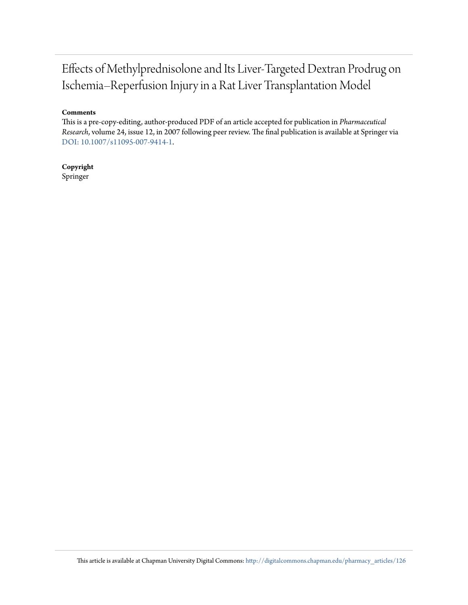## Effects of Methylprednisolone and Its Liver-Targeted Dextran Prodrug on Ischemia–Reperfusion Injury in a Rat Liver Transplantation Model

#### **Comments**

This is a pre-copy-editing, author-produced PDF of an article accepted for publication in *Pharmaceutical Research*, volume 24, issue 12, in 2007 following peer review. The final publication is available at Springer via [DOI: 10.1007/s11095-007-9414-1.](http://dx.doi.org/10.1007/s11095-007-9414-1)

**Copyright** Springer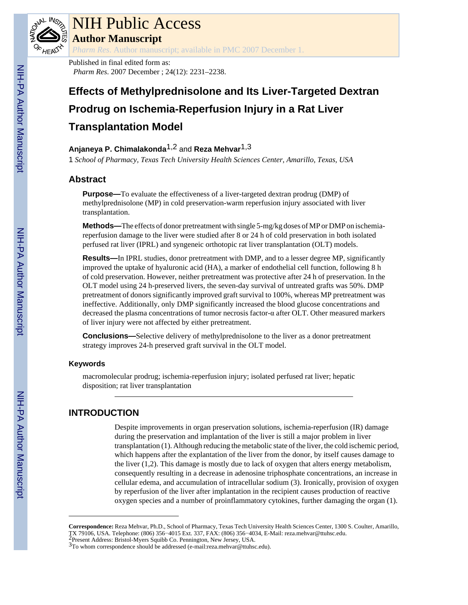

# NIH Public Access

**Author Manuscript**

*Pharm Res*. Author manuscript; available in PMC 2007 December 1.

Published in final edited form as: *Pharm Res*. 2007 December ; 24(12): 2231–2238.

## **Effects of Methylprednisolone and Its Liver-Targeted Dextran Prodrug on Ischemia-Reperfusion Injury in a Rat Liver Transplantation Model**

## **Anjaneya P. Chimalakonda**1,2 and **Reza Mehvar**1,3

1 *School of Pharmacy, Texas Tech University Health Sciences Center, Amarillo, Texas, USA*

## **Abstract**

**Purpose—**To evaluate the effectiveness of a liver-targeted dextran prodrug (DMP) of methylprednisolone (MP) in cold preservation-warm reperfusion injury associated with liver transplantation.

**Methods—**The effects of donor pretreatment with single 5-mg/kg doses of MP or DMP on ischemiareperfusion damage to the liver were studied after 8 or 24 h of cold preservation in both isolated perfused rat liver (IPRL) and syngeneic orthotopic rat liver transplantation (OLT) models.

**Results—In IPRL studies, donor pretreatment with DMP, and to a lesser degree MP, significantly** improved the uptake of hyaluronic acid (HA), a marker of endothelial cell function, following 8 h of cold preservation. However, neither pretreatment was protective after 24 h of preservation. In the OLT model using 24 h-preserved livers, the seven-day survival of untreated grafts was 50%. DMP pretreatment of donors significantly improved graft survival to 100%, whereas MP pretreatment was ineffective. Additionally, only DMP significantly increased the blood glucose concentrations and decreased the plasma concentrations of tumor necrosis factor-α after OLT. Other measured markers of liver injury were not affected by either pretreatment.

**Conclusions—**Selective delivery of methylprednisolone to the liver as a donor pretreatment strategy improves 24-h preserved graft survival in the OLT model.

## **Keywords**

macromolecular prodrug; ischemia-reperfusion injury; isolated perfused rat liver; hepatic disposition; rat liver transplantation

## **INTRODUCTION**

Despite improvements in organ preservation solutions, ischemia-reperfusion (IR) damage during the preservation and implantation of the liver is still a major problem in liver transplantation (1). Although reducing the metabolic state of the liver, the cold ischemic period, which happens after the explantation of the liver from the donor, by itself causes damage to the liver  $(1,2)$ . This damage is mostly due to lack of oxygen that alters energy metabolism, consequently resulting in a decrease in adenosine triphosphate concentrations, an increase in cellular edema, and accumulation of intracellular sodium (3). Ironically, provision of oxygen by reperfusion of the liver after implantation in the recipient causes production of reactive oxygen species and a number of proinflammatory cytokines, further damaging the organ (1).

**Correspondence:** Reza Mehvar, Ph.D., School of Pharmacy, Texas Tech University Health Sciences Center, 1300 S. Coulter, Amarillo, TX 79106, USA. Telephone: (806) 356−4015 Ext. 337, FAX: (806) 356−4034, E-Mail: reza.mehvar@ttuhsc.edu. 2Present Address: Bristol-Myers Squibb Co. Pennington, New Jersey, USA.

<sup>&</sup>lt;sup>3</sup>To whom correspondence should be addressed (e-mail:reza.mehvar@ttuhsc.edu).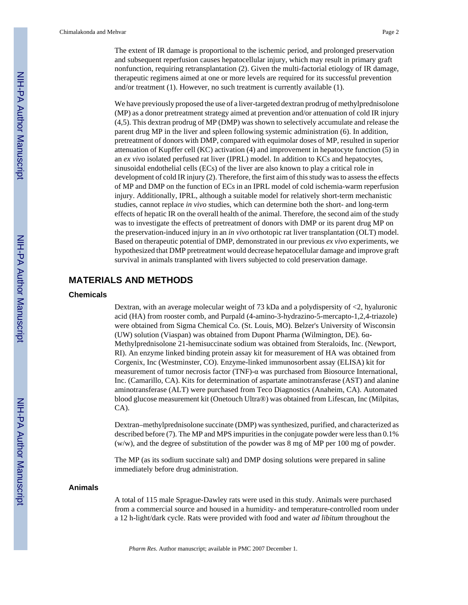The extent of IR damage is proportional to the ischemic period, and prolonged preservation and subsequent reperfusion causes hepatocellular injury, which may result in primary graft nonfunction, requiring retransplantation (2). Given the multi-factorial etiology of IR damage, therapeutic regimens aimed at one or more levels are required for its successful prevention and/or treatment (1). However, no such treatment is currently available (1).

We have previously proposed the use of a liver-targeted dextran prodrug of methylprednisolone (MP) as a donor pretreatment strategy aimed at prevention and/or attenuation of cold IR injury (4,5). This dextran prodrug of MP (DMP) was shown to selectively accumulate and release the parent drug MP in the liver and spleen following systemic administration (6). In addition, pretreatment of donors with DMP, compared with equimolar doses of MP, resulted in superior attenuation of Kupffer cell (KC) activation (4) and improvement in hepatocyte function (5) in an *ex vivo* isolated perfused rat liver (IPRL) model. In addition to KCs and hepatocytes, sinusoidal endothelial cells (ECs) of the liver are also known to play a critical role in development of cold IR injury (2). Therefore, the first aim of this study was to assess the effects of MP and DMP on the function of ECs in an IPRL model of cold ischemia-warm reperfusion injury. Additionally, IPRL, although a suitable model for relatively short-term mechanistic studies, cannot replace *in vivo* studies, which can determine both the short- and long-term effects of hepatic IR on the overall health of the animal. Therefore, the second aim of the study was to investigate the effects of pretreatment of donors with DMP or its parent drug MP on the preservation-induced injury in an *in vivo* orthotopic rat liver transplantation (OLT) model. Based on therapeutic potential of DMP, demonstrated in our previous *ex vivo* experiments, we hypothesized that DMP pretreatment would decrease hepatocellular damage and improve graft survival in animals transplanted with livers subjected to cold preservation damage.

## **MATERIALS AND METHODS**

#### **Chemicals**

Dextran, with an average molecular weight of 73 kDa and a polydispersity of <2, hyaluronic acid (HA) from rooster comb, and Purpald (4-amino-3-hydrazino-5-mercapto-1,2,4-triazole) were obtained from Sigma Chemical Co. (St. Louis, MO). Belzer's University of Wisconsin (UW) solution (Viaspan) was obtained from Dupont Pharma (Wilmington, DE). 6α-Methylprednisolone 21-hemisuccinate sodium was obtained from Steraloids, Inc. (Newport, RI). An enzyme linked binding protein assay kit for measurement of HA was obtained from Corgenix, Inc (Westminster, CO). Enzyme-linked immunosorbent assay (ELISA) kit for measurement of tumor necrosis factor (TNF)- $\alpha$  was purchased from Biosource International, Inc. (Camarillo, CA). Kits for determination of aspartate aminotransferase (AST) and alanine aminotransferase (ALT) were purchased from Teco Diagnostics (Anaheim, CA). Automated blood glucose measurement kit (Onetouch Ultra®) was obtained from Lifescan, Inc (Milpitas, CA).

Dextran–methylprednisolone succinate (DMP) was synthesized, purified, and characterized as described before (7). The MP and MPS impurities in the conjugate powder were less than 0.1% (w/w), and the degree of substitution of the powder was 8 mg of MP per 100 mg of powder.

The MP (as its sodium succinate salt) and DMP dosing solutions were prepared in saline immediately before drug administration.

#### **Animals**

A total of 115 male Sprague-Dawley rats were used in this study. Animals were purchased from a commercial source and housed in a humidity- and temperature-controlled room under a 12 h-light/dark cycle. Rats were provided with food and water *ad libitum* throughout the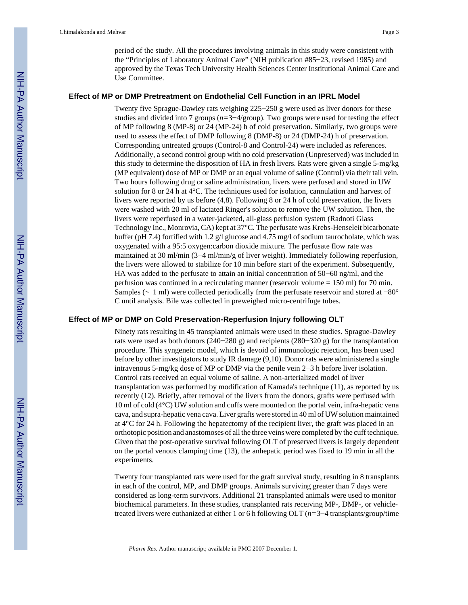period of the study. All the procedures involving animals in this study were consistent with the "Principles of Laboratory Animal Care" (NIH publication #85−23, revised 1985) and approved by the Texas Tech University Health Sciences Center Institutional Animal Care and Use Committee.

#### **Effect of MP or DMP Pretreatment on Endothelial Cell Function in an IPRL Model**

Twenty five Sprague-Dawley rats weighing 225−250 g were used as liver donors for these studies and divided into 7 groups (*n=*3−4/group). Two groups were used for testing the effect of MP following 8 (MP-8) or 24 (MP-24) h of cold preservation. Similarly, two groups were used to assess the effect of DMP following 8 (DMP-8) or 24 (DMP-24) h of preservation. Corresponding untreated groups (Control-8 and Control-24) were included as references. Additionally, a second control group with no cold preservation (Unpreserved) was included in this study to determine the disposition of HA in fresh livers. Rats were given a single 5-mg/kg (MP equivalent) dose of MP or DMP or an equal volume of saline (Control) via their tail vein. Two hours following drug or saline administration, livers were perfused and stored in UW solution for 8 or 24 h at 4°C. The techniques used for isolation, cannulation and harvest of livers were reported by us before (4,8). Following 8 or 24 h of cold preservation, the livers were washed with 20 ml of lactated Ringer's solution to remove the UW solution. Then, the livers were reperfused in a water-jacketed, all-glass perfusion system (Radnoti Glass Technology Inc., Monrovia, CA) kept at 37°C. The perfusate was Krebs-Henseleit bicarbonate buffer (pH 7.4) fortified with 1.2 g/l glucose and 4.75 mg/l of sodium taurocholate, which was oxygenated with a 95:5 oxygen:carbon dioxide mixture. The perfusate flow rate was maintained at 30 ml/min (3−4 ml/min/g of liver weight). Immediately following reperfusion, the livers were allowed to stabilize for 10 min before start of the experiment. Subsequently, HA was added to the perfusate to attain an initial concentration of 50−60 ng/ml, and the perfusion was continued in a recirculating manner (reservoir volume = 150 ml) for 70 min. Samples (∼ 1 ml) were collected periodically from the perfusate reservoir and stored at −80° C until analysis. Bile was collected in preweighed micro-centrifuge tubes.

#### **Effect of MP or DMP on Cold Preservation-Reperfusion Injury following OLT**

Ninety rats resulting in 45 transplanted animals were used in these studies. Sprague-Dawley rats were used as both donors (240−280 g) and recipients (280−320 g) for the transplantation procedure. This syngeneic model, which is devoid of immunologic rejection, has been used before by other investigators to study IR damage (9,10). Donor rats were administered a single intravenous 5-mg/kg dose of MP or DMP via the penile vein 2−3 h before liver isolation. Control rats received an equal volume of saline. A non-arterialized model of liver transplantation was performed by modification of Kamada's technique (11), as reported by us recently (12). Briefly, after removal of the livers from the donors, grafts were perfused with 10 ml of cold (4°C) UW solution and cuffs were mounted on the portal vein, infra-hepatic vena cava, and supra-hepatic vena cava. Liver grafts were stored in 40 ml of UW solution maintained at 4°C for 24 h. Following the hepatectomy of the recipient liver, the graft was placed in an orthotopic position and anastomoses of all the three veins were completed by the cuff technique. Given that the post-operative survival following OLT of preserved livers is largely dependent on the portal venous clamping time (13), the anhepatic period was fixed to 19 min in all the experiments.

Twenty four transplanted rats were used for the graft survival study, resulting in 8 transplants in each of the control, MP, and DMP groups. Animals surviving greater than 7 days were considered as long-term survivors. Additional 21 transplanted animals were used to monitor biochemical parameters. In these studies, transplanted rats receiving MP-, DMP-, or vehicletreated livers were euthanized at either 1 or 6 h following OLT (*n=*3−4 transplants/group/time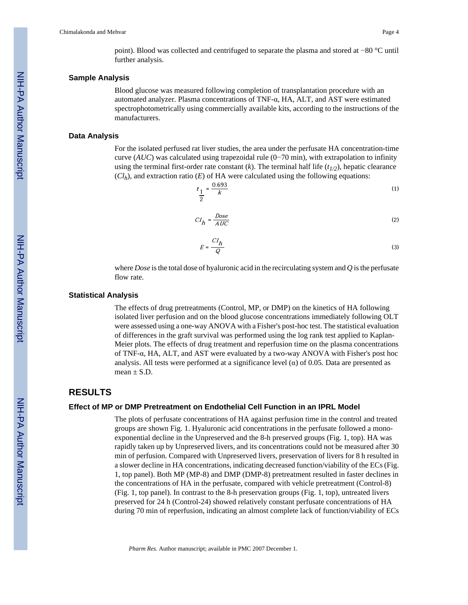point). Blood was collected and centrifuged to separate the plasma and stored at −80 °C until further analysis.

#### **Sample Analysis**

Blood glucose was measured following completion of transplantation procedure with an automated analyzer. Plasma concentrations of TNF-α, HA, ALT, and AST were estimated spectrophotometrically using commercially available kits, according to the instructions of the manufacturers.

#### **Data Analysis**

For the isolated perfused rat liver studies, the area under the perfusate HA concentration-time curve (*AUC*) was calculated using trapezoidal rule (0−70 min), with extrapolation to infinity using the terminal first-order rate constant (*k*). The terminal half life  $(t_{1/2})$ , hepatic clearance  $(Cl<sub>h</sub>)$ , and extraction ratio  $(E)$  of HA were calculated using the following equations:

$$
t_{\frac{1}{2}} = \frac{0.693}{k}
$$
 (1)

$$
CI_h = \frac{Dose}{AUC}
$$
 (2)

$$
E = \frac{CI_h}{Q}
$$
 (3)

where *Dose* is the total dose of hyaluronic acid in the recirculating system and *Q* is the perfusate flow rate.

#### **Statistical Analysis**

The effects of drug pretreatments (Control, MP, or DMP) on the kinetics of HA following isolated liver perfusion and on the blood glucose concentrations immediately following OLT were assessed using a one-way ANOVA with a Fisher's post-hoc test. The statistical evaluation of differences in the graft survival was performed using the log rank test applied to Kaplan-Meier plots. The effects of drug treatment and reperfusion time on the plasma concentrations of TNF-α, HA, ALT, and AST were evaluated by a two-way ANOVA with Fisher's post hoc analysis. All tests were performed at a significance level  $(\alpha)$  of 0.05. Data are presented as mean  $+ S. D$ 

## **RESULTS**

#### **Effect of MP or DMP Pretreatment on Endothelial Cell Function in an IPRL Model**

The plots of perfusate concentrations of HA against perfusion time in the control and treated groups are shown Fig. 1. Hyaluronic acid concentrations in the perfusate followed a monoexponential decline in the Unpreserved and the 8-h preserved groups (Fig. 1, top). HA was rapidly taken up by Unpreserved livers, and its concentrations could not be measured after 30 min of perfusion. Compared with Unpreserved livers, preservation of livers for 8 h resulted in a slower decline in HA concentrations, indicating decreased function/viability of the ECs (Fig. 1, top panel). Both MP (MP-8) and DMP (DMP-8) pretreatment resulted in faster declines in the concentrations of HA in the perfusate, compared with vehicle pretreatment (Control-8) (Fig. 1, top panel). In contrast to the 8-h preservation groups (Fig. 1, top), untreated livers preserved for 24 h (Control-24) showed relatively constant perfusate concentrations of HA during 70 min of reperfusion, indicating an almost complete lack of function/viability of ECs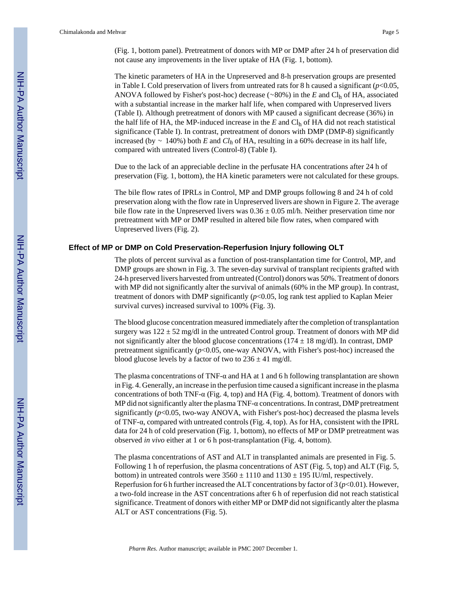(Fig. 1, bottom panel). Pretreatment of donors with MP or DMP after 24 h of preservation did not cause any improvements in the liver uptake of HA (Fig. 1, bottom).

The kinetic parameters of HA in the Unpreserved and 8-h preservation groups are presented in Table I. Cold preservation of livers from untreated rats for 8 h caused a significant  $(p<0.05$ , ANOVA followed by Fisher's post-hoc) decrease (∼80%) in the *E* and Clh of HA, associated with a substantial increase in the marker half life, when compared with Unpreserved livers (Table I). Although pretreatment of donors with MP caused a significant decrease (36%) in the half life of HA, the MP-induced increase in the  $E$  and  $Cl<sub>h</sub>$  of HA did not reach statistical significance (Table I). In contrast, pretreatment of donors with DMP (DMP-8) significantly increased (by ∼ 140%) both *E* and *Clh* of HA, resulting in a 60% decrease in its half life, compared with untreated livers (Control-8) (Table I).

Due to the lack of an appreciable decline in the perfusate HA concentrations after 24 h of preservation (Fig. 1, bottom), the HA kinetic parameters were not calculated for these groups.

The bile flow rates of IPRLs in Control, MP and DMP groups following 8 and 24 h of cold preservation along with the flow rate in Unpreserved livers are shown in Figure 2. The average bile flow rate in the Unpreserved livers was  $0.36 \pm 0.05$  ml/h. Neither preservation time nor pretreatment with MP or DMP resulted in altered bile flow rates, when compared with Unpreserved livers (Fig. 2).

#### **Effect of MP or DMP on Cold Preservation-Reperfusion Injury following OLT**

The plots of percent survival as a function of post-transplantation time for Control, MP, and DMP groups are shown in Fig. 3. The seven-day survival of transplant recipients grafted with 24-h preserved livers harvested from untreated (Control) donors was 50%. Treatment of donors with MP did not significantly alter the survival of animals (60% in the MP group). In contrast, treatment of donors with DMP significantly (*p*<0.05, log rank test applied to Kaplan Meier survival curves) increased survival to 100% (Fig. 3).

The blood glucose concentration measured immediately after the completion of transplantation surgery was  $122 \pm 52$  mg/dl in the untreated Control group. Treatment of donors with MP did not significantly alter the blood glucose concentrations ( $174 \pm 18$  mg/dl). In contrast, DMP pretreatment significantly (*p*<0.05, one-way ANOVA, with Fisher's post-hoc) increased the blood glucose levels by a factor of two to  $236 \pm 41$  mg/dl.

The plasma concentrations of TNF- $\alpha$  and HA at 1 and 6 h following transplantation are shown in Fig. 4. Generally, an increase in the perfusion time caused a significant increase in the plasma concentrations of both TNF-α (Fig. 4, top) and HA (Fig. 4, bottom). Treatment of donors with MP did not significantly alter the plasma TNF- $\alpha$  concentrations. In contrast, DMP pretreatment significantly (*p*<0.05, two-way ANOVA, with Fisher's post-hoc) decreased the plasma levels of TNF-α, compared with untreated controls (Fig. 4, top). As for HA, consistent with the IPRL data for 24 h of cold preservation (Fig. 1, bottom), no effects of MP or DMP pretreatment was observed *in vivo* either at 1 or 6 h post-transplantation (Fig. 4, bottom).

The plasma concentrations of AST and ALT in transplanted animals are presented in Fig. 5. Following 1 h of reperfusion, the plasma concentrations of AST (Fig. 5, top) and ALT (Fig. 5, bottom) in untreated controls were  $3560 \pm 1110$  and  $1130 \pm 195$  IU/ml, respectively. Reperfusion for 6 h further increased the ALT concentrations by factor of 3 ( $p$ <0.01). However, a two-fold increase in the AST concentrations after 6 h of reperfusion did not reach statistical significance. Treatment of donors with either MP or DMP did not significantly alter the plasma ALT or AST concentrations (Fig. 5).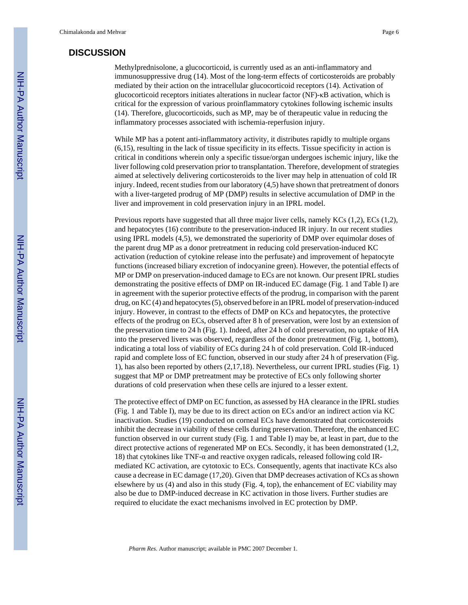### **DISCUSSION**

Methylprednisolone, a glucocorticoid, is currently used as an anti-inflammatory and immunosuppressive drug (14). Most of the long-term effects of corticosteroids are probably mediated by their action on the intracellular glucocorticoid receptors (14). Activation of glucocorticoid receptors initiates alterations in nuclear factor (NF)-κB activation, which is critical for the expression of various proinflammatory cytokines following ischemic insults (14). Therefore, glucocorticoids, such as MP, may be of therapeutic value in reducing the inflammatory processes associated with ischemia-reperfusion injury.

While MP has a potent anti-inflammatory activity, it distributes rapidly to multiple organs (6,15), resulting in the lack of tissue specificity in its effects. Tissue specificity in action is critical in conditions wherein only a specific tissue/organ undergoes ischemic injury, like the liver following cold preservation prior to transplantation. Therefore, development of strategies aimed at selectively delivering corticosteroids to the liver may help in attenuation of cold IR injury. Indeed, recent studies from our laboratory (4,5) have shown that pretreatment of donors with a liver-targeted prodrug of MP (DMP) results in selective accumulation of DMP in the liver and improvement in cold preservation injury in an IPRL model.

Previous reports have suggested that all three major liver cells, namely KCs (1,2), ECs (1,2), and hepatocytes (16) contribute to the preservation-induced IR injury. In our recent studies using IPRL models (4,5), we demonstrated the superiority of DMP over equimolar doses of the parent drug MP as a donor pretreatment in reducing cold preservation-induced KC activation (reduction of cytokine release into the perfusate) and improvement of hepatocyte functions (increased biliary excretion of indocyanine green). However, the potential effects of MP or DMP on preservation-induced damage to ECs are not known. Our present IPRL studies demonstrating the positive effects of DMP on IR-induced EC damage (Fig. 1 and Table I) are in agreement with the superior protective effects of the prodrug, in comparison with the parent drug, on KC (4) and hepatocytes (5), observed before in an IPRL model of preservation-induced injury. However, in contrast to the effects of DMP on KCs and hepatocytes, the protective effects of the prodrug on ECs, observed after 8 h of preservation, were lost by an extension of the preservation time to 24 h (Fig. 1). Indeed, after 24 h of cold preservation, no uptake of HA into the preserved livers was observed, regardless of the donor pretreatment (Fig. 1, bottom), indicating a total loss of viability of ECs during 24 h of cold preservation. Cold IR-induced rapid and complete loss of EC function, observed in our study after 24 h of preservation (Fig. 1), has also been reported by others (2,17,18). Nevertheless, our current IPRL studies (Fig. 1) suggest that MP or DMP pretreatment may be protective of ECs only following shorter durations of cold preservation when these cells are injured to a lesser extent.

The protective effect of DMP on EC function, as assessed by HA clearance in the IPRL studies (Fig. 1 and Table I), may be due to its direct action on ECs and/or an indirect action via KC inactivation. Studies (19) conducted on corneal ECs have demonstrated that corticosteroids inhibit the decrease in viability of these cells during preservation. Therefore, the enhanced EC function observed in our current study (Fig. 1 and Table I) may be, at least in part, due to the direct protective actions of regenerated MP on ECs. Secondly, it has been demonstrated (1,2, 18) that cytokines like TNF- $\alpha$  and reactive oxygen radicals, released following cold IRmediated KC activation, are cytotoxic to ECs. Consequently, agents that inactivate KCs also cause a decrease in EC damage (17,20). Given that DMP decreases activation of KCs as shown elsewhere by us (4) and also in this study (Fig. 4, top), the enhancement of EC viability may also be due to DMP-induced decrease in KC activation in those livers. Further studies are required to elucidate the exact mechanisms involved in EC protection by DMP.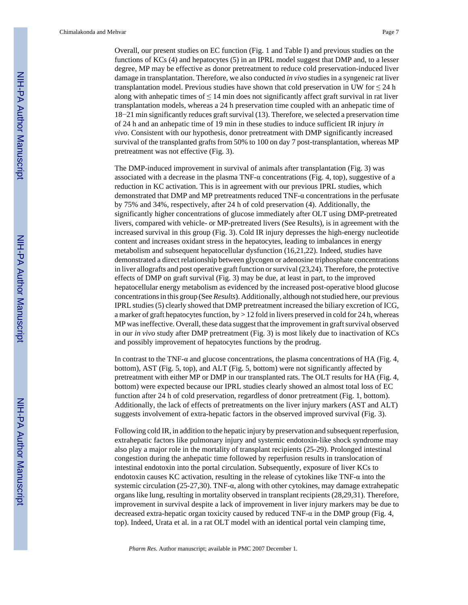Chimalakonda and Mehvar Page 7

Overall, our present studies on EC function (Fig. 1 and Table I) and previous studies on the functions of KCs (4) and hepatocytes (5) in an IPRL model suggest that DMP and, to a lesser degree, MP may be effective as donor pretreatment to reduce cold preservation-induced liver damage in transplantation. Therefore, we also conducted *in vivo* studies in a syngeneic rat liver transplantation model. Previous studies have shown that cold preservation in UW for  $\leq 24$  h along with anhepatic times of  $\leq 14$  min does not significantly affect graft survival in rat liver transplantation models, whereas a 24 h preservation time coupled with an anhepatic time of 18−21 min significantly reduces graft survival (13). Therefore, we selected a preservation time of 24 h and an anhepatic time of 19 min in these studies to induce sufficient IR injury *in vivo*. Consistent with our hypothesis, donor pretreatment with DMP significantly increased survival of the transplanted grafts from 50% to 100 on day 7 post-transplantation, whereas MP pretreatment was not effective (Fig. 3).

The DMP-induced improvement in survival of animals after transplantation (Fig. 3) was associated with a decrease in the plasma TNF- $\alpha$  concentrations (Fig. 4, top), suggestive of a reduction in KC activation. This is in agreement with our previous IPRL studies, which demonstrated that DMP and MP pretreatments reduced TNF-α concentrations in the perfusate by 75% and 34%, respectively, after 24 h of cold preservation (4). Additionally, the significantly higher concentrations of glucose immediately after OLT using DMP-pretreated livers, compared with vehicle- or MP-pretreated livers (See Results), is in agreement with the increased survival in this group (Fig. 3). Cold IR injury depresses the high-energy nucleotide content and increases oxidant stress in the hepatocytes, leading to imbalances in energy metabolism and subsequent hepatocellular dysfunction (16,21,22). Indeed, studies have demonstrated a direct relationship between glycogen or adenosine triphosphate concentrations in liver allografts and post operative graft function or survival (23,24). Therefore, the protective effects of DMP on graft survival (Fig. 3) may be due, at least in part, to the improved hepatocellular energy metabolism as evidenced by the increased post-operative blood glucose concentrations in this group (See *Results*). Additionally, although not studied here, our previous IPRL studies (5) clearly showed that DMP pretreatment increased the biliary excretion of ICG, a marker of graft hepatocytes function, by > 12 fold in livers preserved in cold for 24 h, whereas MP was ineffective. Overall, these data suggest that the improvement in graft survival observed in our *in vivo* study after DMP pretreatment (Fig. 3) is most likely due to inactivation of KCs and possibly improvement of hepatocytes functions by the prodrug.

In contrast to the TNF- $\alpha$  and glucose concentrations, the plasma concentrations of HA (Fig. 4, bottom), AST (Fig. 5, top), and ALT (Fig. 5, bottom) were not significantly affected by pretreatment with either MP or DMP in our transplanted rats. The OLT results for HA (Fig. 4, bottom) were expected because our IPRL studies clearly showed an almost total loss of EC function after 24 h of cold preservation, regardless of donor pretreatment (Fig. 1, bottom). Additionally, the lack of effects of pretreatments on the liver injury markers (AST and ALT) suggests involvement of extra-hepatic factors in the observed improved survival (Fig. 3).

Following cold IR, in addition to the hepatic injury by preservation and subsequent reperfusion, extrahepatic factors like pulmonary injury and systemic endotoxin-like shock syndrome may also play a major role in the mortality of transplant recipients (25-29). Prolonged intestinal congestion during the anhepatic time followed by reperfusion results in translocation of intestinal endotoxin into the portal circulation. Subsequently, exposure of liver KCs to endotoxin causes KC activation, resulting in the release of cytokines like TNF- $\alpha$  into the systemic circulation (25-27,30). TNF-α, along with other cytokines, may damage extrahepatic organs like lung, resulting in mortality observed in transplant recipients (28,29,31). Therefore, improvement in survival despite a lack of improvement in liver injury markers may be due to decreased extra-hepatic organ toxicity caused by reduced TNF-α in the DMP group (Fig. 4, top). Indeed, Urata et al. in a rat OLT model with an identical portal vein clamping time,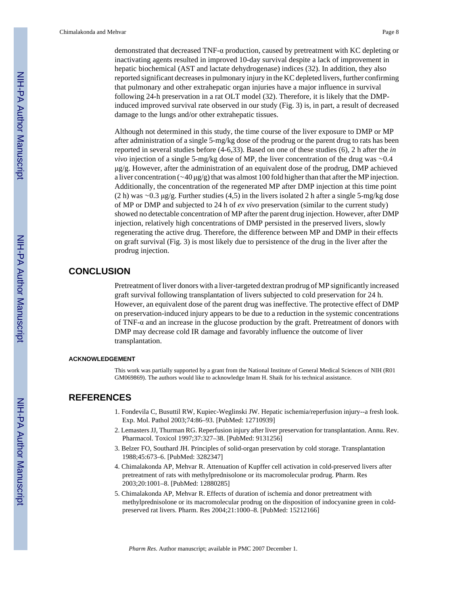demonstrated that decreased TNF-α production, caused by pretreatment with KC depleting or inactivating agents resulted in improved 10-day survival despite a lack of improvement in hepatic biochemical (AST and lactate dehydrogenase) indices (32). In addition, they also reported significant decreases in pulmonary injury in the KC depleted livers, further confirming that pulmonary and other extrahepatic organ injuries have a major influence in survival following 24-h preservation in a rat OLT model (32). Therefore, it is likely that the DMPinduced improved survival rate observed in our study (Fig. 3) is, in part, a result of decreased damage to the lungs and/or other extrahepatic tissues.

Although not determined in this study, the time course of the liver exposure to DMP or MP after administration of a single 5-mg/kg dose of the prodrug or the parent drug to rats has been reported in several studies before (4-6,33). Based on one of these studies (6), 2 h after the *in vivo* injection of a single 5-mg/kg dose of MP, the liver concentration of the drug was ∼0.4 μg/g. However, after the administration of an equivalent dose of the prodrug, DMP achieved a liver concentration (∼40 μg/g) that was almost 100 fold higher than that after the MP injection. Additionally, the concentration of the regenerated MP after DMP injection at this time point (2 h) was ∼0.3 μg/g. Further studies (4,5) in the livers isolated 2 h after a single 5-mg/kg dose of MP or DMP and subjected to 24 h of *ex vivo* preservation (similar to the current study) showed no detectable concentration of MP after the parent drug injection. However, after DMP injection, relatively high concentrations of DMP persisted in the preserved livers, slowly regenerating the active drug. Therefore, the difference between MP and DMP in their effects on graft survival (Fig. 3) is most likely due to persistence of the drug in the liver after the prodrug injection.

#### **CONCLUSION**

Pretreatment of liver donors with a liver-targeted dextran prodrug of MP significantly increased graft survival following transplantation of livers subjected to cold preservation for 24 h. However, an equivalent dose of the parent drug was ineffective. The protective effect of DMP on preservation-induced injury appears to be due to a reduction in the systemic concentrations of TNF-α and an increase in the glucose production by the graft. Pretreatment of donors with DMP may decrease cold IR damage and favorably influence the outcome of liver transplantation.

#### **ACKNOWLEDGEMENT**

This work was partially supported by a grant from the National Institute of General Medical Sciences of NIH (R01 GM069869). The authors would like to acknowledge Imam H. Shaik for his technical assistance.

## **REFERENCES**

- 1. Fondevila C, Busuttil RW, Kupiec-Weglinski JW. Hepatic ischemia/reperfusion injury--a fresh look. Exp. Mol. Pathol 2003;74:86–93. [PubMed: 12710939]
- 2. Lemasters JJ, Thurman RG. Reperfusion injury after liver preservation for transplantation. Annu. Rev. Pharmacol. Toxicol 1997;37:327–38. [PubMed: 9131256]
- 3. Belzer FO, Southard JH. Principles of solid-organ preservation by cold storage. Transplantation 1988;45:673–6. [PubMed: 3282347]
- 4. Chimalakonda AP, Mehvar R. Attenuation of Kupffer cell activation in cold-preserved livers after pretreatment of rats with methylprednisolone or its macromolecular prodrug. Pharm. Res 2003;20:1001–8. [PubMed: 12880285]
- 5. Chimalakonda AP, Mehvar R. Effects of duration of ischemia and donor pretreatment with methylprednisolone or its macromolecular prodrug on the disposition of indocyanine green in coldpreserved rat livers. Pharm. Res 2004;21:1000–8. [PubMed: 15212166]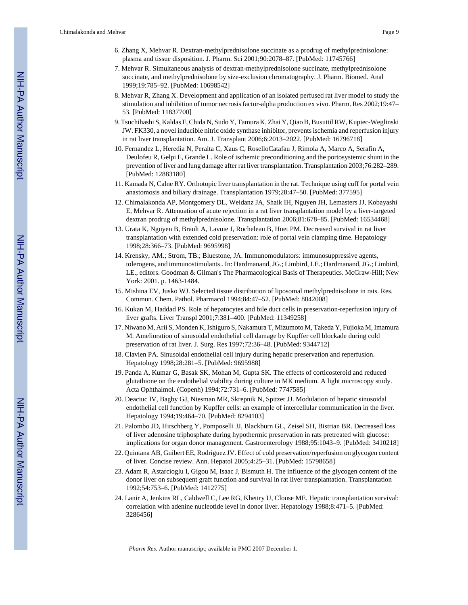- 6. Zhang X, Mehvar R. Dextran-methylprednisolone succinate as a prodrug of methylprednisolone: plasma and tissue disposition. J. Pharm. Sci 2001;90:2078–87. [PubMed: 11745766]
- 7. Mehvar R. Simultaneous analysis of dextran-methylprednisolone succinate, methylprednisolone succinate, and methylprednisolone by size-exclusion chromatography. J. Pharm. Biomed. Anal 1999;19:785–92. [PubMed: 10698542]
- 8. Mehvar R, Zhang X. Development and application of an isolated perfused rat liver model to study the stimulation and inhibition of tumor necrosis factor-alpha production ex vivo. Pharm. Res 2002;19:47– 53. [PubMed: 11837700]
- 9. Tsuchihashi S, Kaldas F, Chida N, Sudo Y, Tamura K, Zhai Y, Qiao B, Busuttil RW, Kupiec-Weglinski JW. FK330, a novel inducible nitric oxide synthase inhibitor, prevents ischemia and reperfusion injury in rat liver transplantation. Am. J. Transplant 2006;6:2013–2022. [PubMed: 16796718]
- 10. Fernandez L, Heredia N, Peralta C, Xaus C, RoselloCatafau J, Rimola A, Marco A, Serafin A, Deulofeu R, Gelpi E, Grande L. Role of ischemic preconditioning and the portosystemic shunt in the prevention of liver and lung damage after rat liver transplantation. Transplantation 2003;76:282–289. [PubMed: 12883180]
- 11. Kamada N, Calne RY. Orthotopic liver transplantation in the rat. Technique using cuff for portal vein anastomosis and biliary drainage. Transplantation 1979;28:47–50. [PubMed: 377595]
- 12. Chimalakonda AP, Montgomery DL, Weidanz JA, Shaik IH, Nguyen JH, Lemasters JJ, Kobayashi E, Mehvar R. Attenuation of acute rejection in a rat liver transplantation model by a liver-targeted dextran prodrug of methylprednisolone. Transplantation 2006;81:678–85. [PubMed: 16534468]
- 13. Urata K, Nguyen B, Brault A, Lavoie J, Rocheleau B, Huet PM. Decreased survival in rat liver transplantation with extended cold preservation: role of portal vein clamping time. Hepatology 1998;28:366–73. [PubMed: 9695998]
- 14. Krensky, AM.; Strom, TB.; Bluestone, JA. Immunomodulators: immunosuppressive agents, tolerogens, and immunostimulants.. In: Hardmanand, JG.; Limbird, LE.; Hardmanand, JG.; Limbird, LE., editors. Goodman & Gilman's The Pharmacological Basis of Therapeutics. McGraw-Hill; New York: 2001. p. 1463-1484.
- 15. Mishina EV, Jusko WJ. Selected tissue distribution of liposomal methylprednisolone in rats. Res. Commun. Chem. Pathol. Pharmacol 1994;84:47–52. [PubMed: 8042008]
- 16. Kukan M, Haddad PS. Role of hepatocytes and bile duct cells in preservation-reperfusion injury of liver grafts. Liver Transpl 2001;7:381–400. [PubMed: 11349258]
- 17. Niwano M, Arii S, Monden K, Ishiguro S, Nakamura T, Mizumoto M, Takeda Y, Fujioka M, Imamura M. Amelioration of sinusoidal endothelial cell damage by Kupffer cell blockade during cold preservation of rat liver. J. Surg. Res 1997;72:36–48. [PubMed: 9344712]
- 18. Clavien PA. Sinusoidal endothelial cell injury during hepatic preservation and reperfusion. Hepatology 1998;28:281–5. [PubMed: 9695988]
- 19. Panda A, Kumar G, Basak SK, Mohan M, Gupta SK. The effects of corticosteroid and reduced glutathione on the endothelial viability during culture in MK medium. A light microscopy study. Acta Ophthalmol. (Copenh) 1994;72:731–6. [PubMed: 7747585]
- 20. Deaciuc IV, Bagby GJ, Niesman MR, Skrepnik N, Spitzer JJ. Modulation of hepatic sinusoidal endothelial cell function by Kupffer cells: an example of intercellular communication in the liver. Hepatology 1994;19:464–70. [PubMed: 8294103]
- 21. Palombo JD, Hirschberg Y, Pomposelli JJ, Blackburn GL, Zeisel SH, Bistrian BR. Decreased loss of liver adenosine triphosphate during hypothermic preservation in rats pretreated with glucose: implications for organ donor management. Gastroenterology 1988;95:1043–9. [PubMed: 3410218]
- 22. Quintana AB, Guibert EE, Rodriguez JV. Effect of cold preservation/reperfusion on glycogen content of liver. Concise review. Ann. Hepatol 2005;4:25–31. [PubMed: 15798658]
- 23. Adam R, Astarcioglu I, Gigou M, Isaac J, Bismuth H. The influence of the glycogen content of the donor liver on subsequent graft function and survival in rat liver transplantation. Transplantation 1992;54:753–6. [PubMed: 1412775]
- 24. Lanir A, Jenkins RL, Caldwell C, Lee RG, Khettry U, Clouse ME. Hepatic transplantation survival: correlation with adenine nucleotide level in donor liver. Hepatology 1988;8:471–5. [PubMed: 3286456]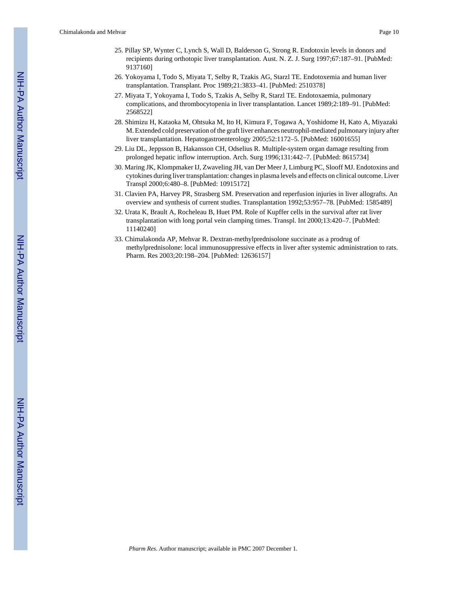- 25. Pillay SP, Wynter C, Lynch S, Wall D, Balderson G, Strong R. Endotoxin levels in donors and recipients during orthotopic liver transplantation. Aust. N. Z. J. Surg 1997;67:187–91. [PubMed: 9137160]
- 26. Yokoyama I, Todo S, Miyata T, Selby R, Tzakis AG, Starzl TE. Endotoxemia and human liver transplantation. Transplant. Proc 1989;21:3833–41. [PubMed: 2510378]
- 27. Miyata T, Yokoyama I, Todo S, Tzakis A, Selby R, Starzl TE. Endotoxaemia, pulmonary complications, and thrombocytopenia in liver transplantation. Lancet 1989;2:189–91. [PubMed: 2568522]
- 28. Shimizu H, Kataoka M, Ohtsuka M, Ito H, Kimura F, Togawa A, Yoshidome H, Kato A, Miyazaki M. Extended cold preservation of the graft liver enhances neutrophil-mediated pulmonary injury after liver transplantation. Hepatogastroenterology 2005;52:1172–5. [PubMed: 16001655]
- 29. Liu DL, Jeppsson B, Hakansson CH, Odselius R. Multiple-system organ damage resulting from prolonged hepatic inflow interruption. Arch. Surg 1996;131:442–7. [PubMed: 8615734]
- 30. Maring JK, Klompmaker IJ, Zwaveling JH, van Der Meer J, Limburg PC, Slooff MJ. Endotoxins and cytokines during liver transplantation: changes in plasma levels and effects on clinical outcome. Liver Transpl 2000;6:480–8. [PubMed: 10915172]
- 31. Clavien PA, Harvey PR, Strasberg SM. Preservation and reperfusion injuries in liver allografts. An overview and synthesis of current studies. Transplantation 1992;53:957–78. [PubMed: 1585489]
- 32. Urata K, Brault A, Rocheleau B, Huet PM. Role of Kupffer cells in the survival after rat liver transplantation with long portal vein clamping times. Transpl. Int 2000;13:420–7. [PubMed: 11140240]
- 33. Chimalakonda AP, Mehvar R. Dextran-methylprednisolone succinate as a prodrug of methylprednisolone: local immunosuppressive effects in liver after systemic administration to rats. Pharm. Res 2003;20:198–204. [PubMed: 12636157]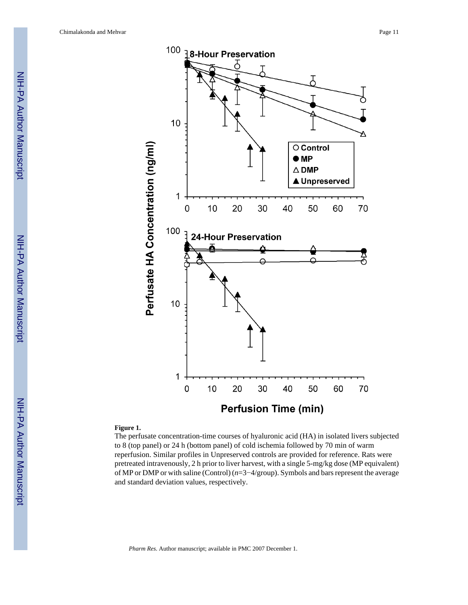Chimalakonda and Mehvar Page 11



#### **Figure 1.**

The perfusate concentration-time courses of hyaluronic acid (HA) in isolated livers subjected to 8 (top panel) or 24 h (bottom panel) of cold ischemia followed by 70 min of warm reperfusion. Similar profiles in Unpreserved controls are provided for reference. Rats were pretreated intravenously, 2 h prior to liver harvest, with a single 5-mg/kg dose (MP equivalent) of MP or DMP or with saline (Control) (*n*=3−4/group). Symbols and bars represent the average and standard deviation values, respectively.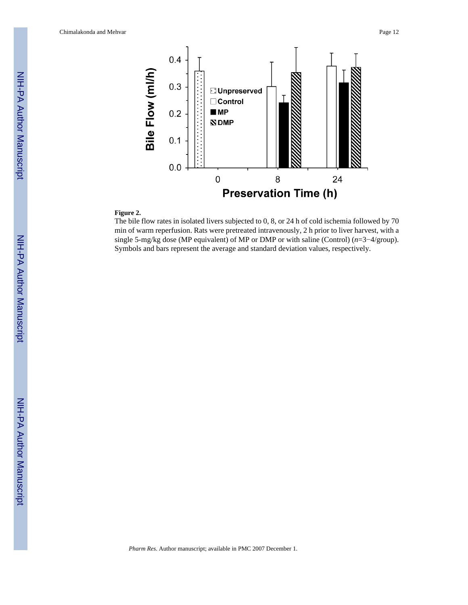Chimalakonda and Mehvar Page 12



#### **Figure 2.**

The bile flow rates in isolated livers subjected to 0, 8, or 24 h of cold ischemia followed by 70 min of warm reperfusion. Rats were pretreated intravenously, 2 h prior to liver harvest, with a single 5-mg/kg dose (MP equivalent) of MP or DMP or with saline (Control) (*n*=3−4/group). Symbols and bars represent the average and standard deviation values, respectively.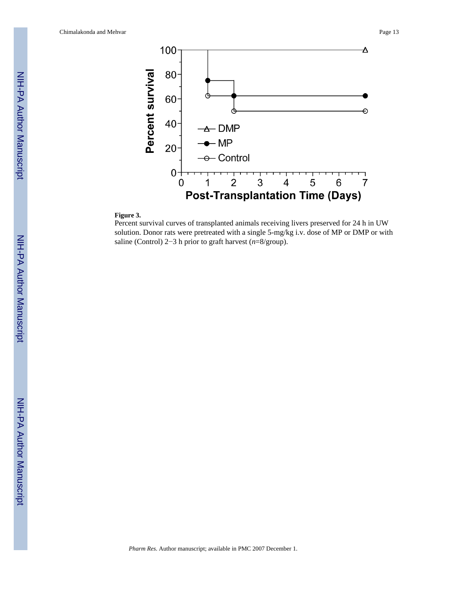

## **Figure 3.**

Percent survival curves of transplanted animals receiving livers preserved for 24 h in UW solution. Donor rats were pretreated with a single 5-mg/kg i.v. dose of MP or DMP or with saline (Control) 2−3 h prior to graft harvest (*n*=8/group).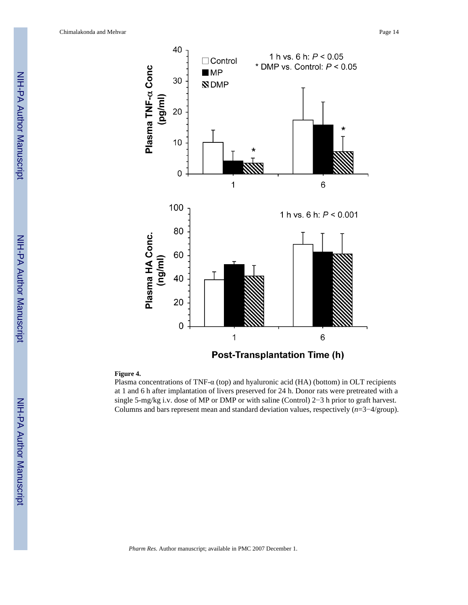

#### **Figure 4.**

Plasma concentrations of TNF-α (top) and hyaluronic acid (HA) (bottom) in OLT recipients at 1 and 6 h after implantation of livers preserved for 24 h. Donor rats were pretreated with a single 5-mg/kg i.v. dose of MP or DMP or with saline (Control) 2−3 h prior to graft harvest. Columns and bars represent mean and standard deviation values, respectively (*n*=3−4/group).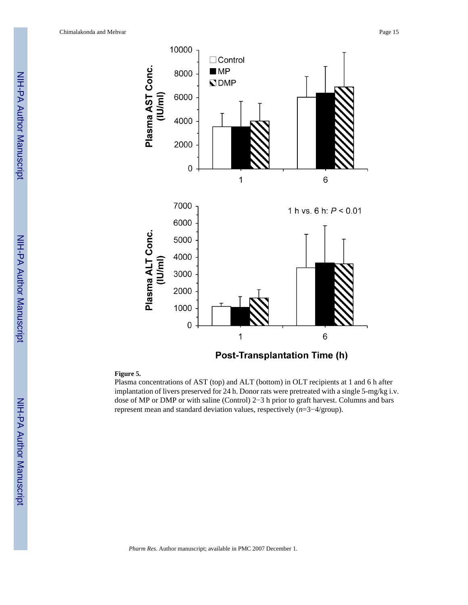

**Figure 5.**

Plasma concentrations of AST (top) and ALT (bottom) in OLT recipients at 1 and 6 h after implantation of livers preserved for 24 h. Donor rats were pretreated with a single 5-mg/kg i.v. dose of MP or DMP or with saline (Control) 2−3 h prior to graft harvest. Columns and bars represent mean and standard deviation values, respectively (*n*=3−4/group).